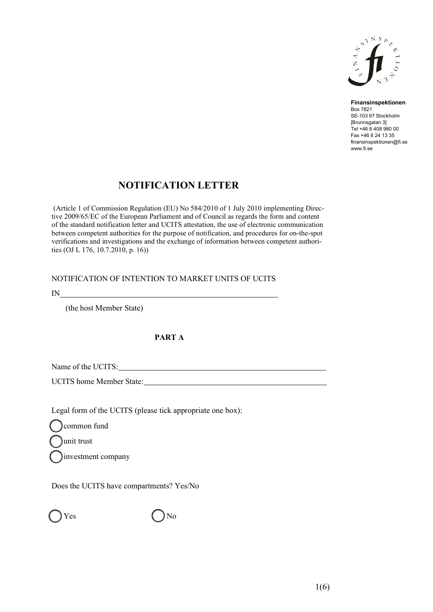

**Finansinspektionen** Box 7821 SE-103 97 Stockholm [Brunnsgatan 3] Tel +46 8 408 980 00 Fax +46 8 24 13 35 [finansinspektionen@fi.se](mailto:finansinspektionen@fi.se) [www.fi.se](http://www.fi.se/)

# **NOTIFICATION LETTER**

(Article 1 of Commission Regulation (EU) No 584/2010 of 1 July 2010 implementing Directive 2009/65/EC of the European Parliament and of Council as regards the form and content of the standard notification letter and UCITS attestation, the use of electronic communication between competent authorities for the purpose of notification, and procedures for on-the-spot verifications and investigations and the exchange of information between competent authorities (OJ L 176, 10.7.2010, p. 16))

## NOTIFICATION OF INTENTION TO MARKET UNITS OF UCITS

IN

(the host Member State)

## **PART A**

Name of the UCITS: Name of the UCITS:

UCITS home Member State:

Legal form of the UCITS (please tick appropriate one box):

common fund

unit trust

investment company

Does the UCITS have compartments? Yes/No

Yes No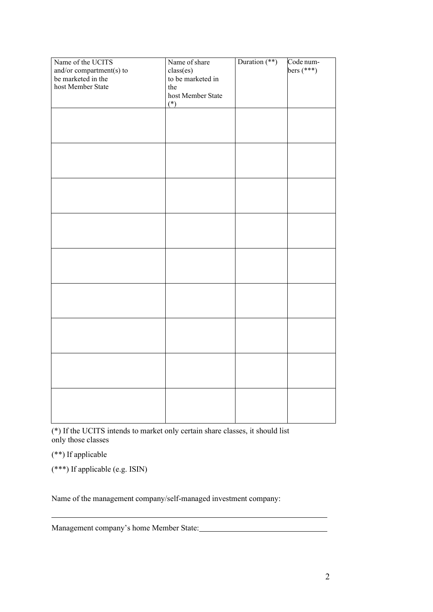| Name of the UCITS                       | Name of share     | Duration $(**)$ | Code num-<br>bers (***) |
|-----------------------------------------|-------------------|-----------------|-------------------------|
| and/or compartment(s) to                | class(es)         |                 |                         |
| be marketed in the<br>host Member State | to be marketed in |                 |                         |
|                                         | the               |                 |                         |
|                                         | host Member State |                 |                         |
|                                         | $(*)$             |                 |                         |
|                                         |                   |                 |                         |
|                                         |                   |                 |                         |
|                                         |                   |                 |                         |
|                                         |                   |                 |                         |
|                                         |                   |                 |                         |
|                                         |                   |                 |                         |
|                                         |                   |                 |                         |
|                                         |                   |                 |                         |
|                                         |                   |                 |                         |
|                                         |                   |                 |                         |
|                                         |                   |                 |                         |
|                                         |                   |                 |                         |
|                                         |                   |                 |                         |
|                                         |                   |                 |                         |
|                                         |                   |                 |                         |
|                                         |                   |                 |                         |
|                                         |                   |                 |                         |
|                                         |                   |                 |                         |
|                                         |                   |                 |                         |
|                                         |                   |                 |                         |
|                                         |                   |                 |                         |
|                                         |                   |                 |                         |
|                                         |                   |                 |                         |
|                                         |                   |                 |                         |
|                                         |                   |                 |                         |
|                                         |                   |                 |                         |
|                                         |                   |                 |                         |
|                                         |                   |                 |                         |
|                                         |                   |                 |                         |
|                                         |                   |                 |                         |
|                                         |                   |                 |                         |
|                                         |                   |                 |                         |
|                                         |                   |                 |                         |
|                                         |                   |                 |                         |

(\*) If the UCITS intends to market only certain share classes, it should list only those classes

(\*\*) If applicable

(\*\*\*) If applicable (e.g. ISIN)

Name of the management company/self-managed investment company:

Management company's home Member State: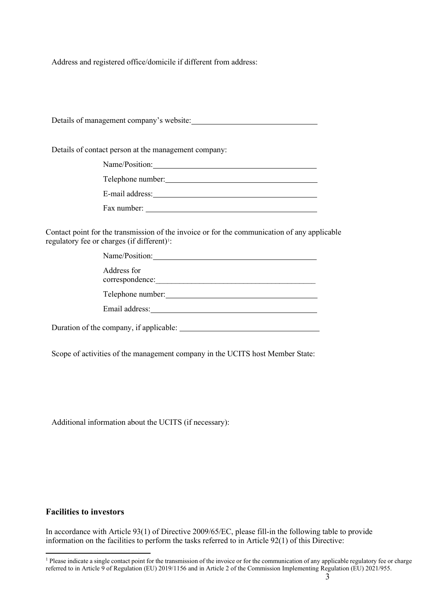Address and registered office/domicile if different from address:

Details of management company's website:

Details of contact person at the management company:

| Name/Position:    |
|-------------------|
| Telephone number: |
| E-mail address:   |
| Fax number:       |

Contact point for the transmission of the invoice or for the communication of any applicable regulatory fee or charges (if different)<sup>1</sup>:

| Name/Position:                          |  |
|-----------------------------------------|--|
| Address for<br>correspondence:          |  |
| Telephone number:                       |  |
| Email address:                          |  |
| Duration of the company, if applicable: |  |

Scope of activities of the management company in the UCITS host Member State:

Additional information about the UCITS (if necessary):

#### **Facilities to investors**

In accordance with Article 93(1) of Directive 2009/65/EC, please fill-in the following table to provide information on the facilities to perform the tasks referred to in Article 92(1) of this Directive:

<span id="page-2-0"></span> $<sup>1</sup>$  Please indicate a single contact point for the transmission of the invoice or for the communication of any applicable regulatory fee or charge</sup> referred to in Article 9 of Regulation (EU) 2019/1156 and in Article 2 of the Commission Implementing Regulation (EU) 2021/955.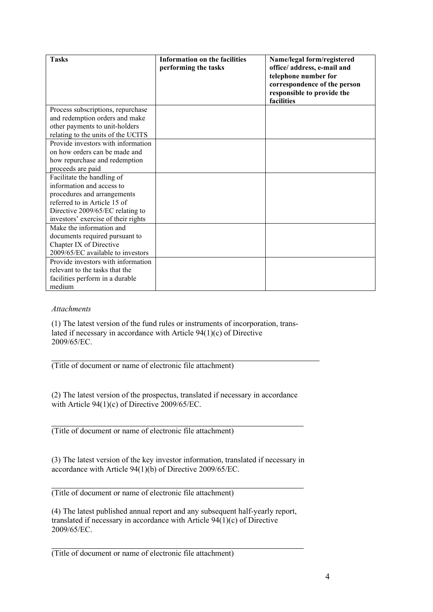| <b>Tasks</b>                        | Information on the facilities<br>performing the tasks | Name/legal form/registered<br>office/ address, e-mail and<br>telephone number for<br>correspondence of the person<br>responsible to provide the<br>facilities |
|-------------------------------------|-------------------------------------------------------|---------------------------------------------------------------------------------------------------------------------------------------------------------------|
| Process subscriptions, repurchase   |                                                       |                                                                                                                                                               |
| and redemption orders and make      |                                                       |                                                                                                                                                               |
| other payments to unit-holders      |                                                       |                                                                                                                                                               |
| relating to the units of the UCITS  |                                                       |                                                                                                                                                               |
| Provide investors with information  |                                                       |                                                                                                                                                               |
| on how orders can be made and       |                                                       |                                                                                                                                                               |
| how repurchase and redemption       |                                                       |                                                                                                                                                               |
| proceeds are paid                   |                                                       |                                                                                                                                                               |
| Facilitate the handling of          |                                                       |                                                                                                                                                               |
| information and access to           |                                                       |                                                                                                                                                               |
| procedures and arrangements         |                                                       |                                                                                                                                                               |
| referred to in Article 15 of        |                                                       |                                                                                                                                                               |
| Directive 2009/65/EC relating to    |                                                       |                                                                                                                                                               |
| investors' exercise of their rights |                                                       |                                                                                                                                                               |
| Make the information and            |                                                       |                                                                                                                                                               |
| documents required pursuant to      |                                                       |                                                                                                                                                               |
| Chapter IX of Directive             |                                                       |                                                                                                                                                               |
| 2009/65/EC available to investors   |                                                       |                                                                                                                                                               |
| Provide investors with information  |                                                       |                                                                                                                                                               |
| relevant to the tasks that the      |                                                       |                                                                                                                                                               |
| facilities perform in a durable     |                                                       |                                                                                                                                                               |
| medium                              |                                                       |                                                                                                                                                               |

#### *Attachments*

(1) The latest version of the fund rules or instruments of incorporation, translated if necessary in accordance with Article 94(1)(c) of Directive 2009/65/EC.

(Title of document or name of electronic file attachment)

(2) The latest version of the prospectus, translated if necessary in accordance with Article 94(1)(c) of Directive 2009/65/EC.

(Title of document or name of electronic file attachment)

(3) The latest version of the key investor information, translated if necessary in accordance with Article 94(1)(b) of Directive 2009/65/EC.

(Title of document or name of electronic file attachment)

(4) The latest published annual report and any subsequent half-yearly report, translated if necessary in accordance with Article 94(1)(c) of Directive 2009/65/EC.

(Title of document or name of electronic file attachment)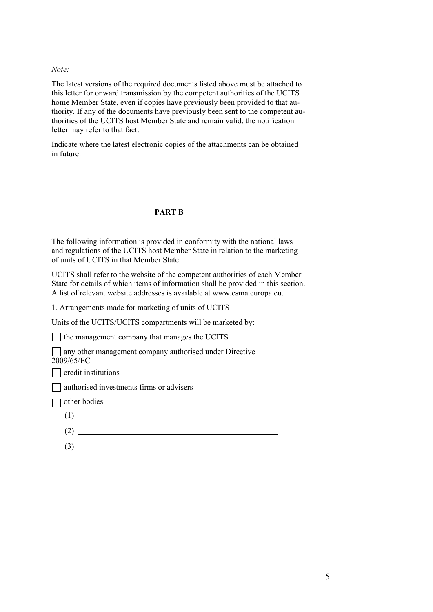#### *Note:*

The latest versions of the required documents listed above must be attached to this letter for onward transmission by the competent authorities of the UCITS home Member State, even if copies have previously been provided to that authority. If any of the documents have previously been sent to the competent authorities of the UCITS host Member State and remain valid, the notification letter may refer to that fact.

Indicate where the latest electronic copies of the attachments can be obtained in future:

#### **PART B**

The following information is provided in conformity with the national laws and regulations of the UCITS host Member State in relation to the marketing of units of UCITS in that Member State.

UCITS shall refer to the website of the competent authorities of each Member State for details of which items of information shall be provided in this section. A list of relevant website addresses is available at [www.esma.europa.eu.](http://www.esma.europa.eu/)

1. Arrangements made for marketing of units of UCITS

Units of the UCITS/UCITS compartments will be marketed by:

The management company that manages the UCITS

any other management company authorised under Directive 2009/65/EC

 $\Box$  credit institutions

authorised investments firms or advisers

other bodies

- $(1)$
- $(2)$
- (3)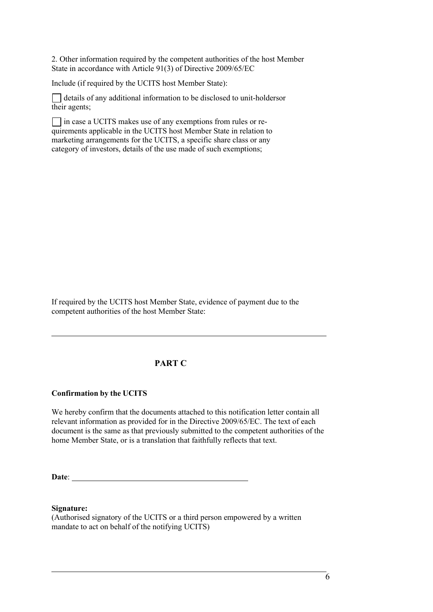2. Other information required by the competent authorities of the host Member State in accordance with Article 91(3) of Directive 2009/65/EC

Include (if required by the UCITS host Member State):

 $\Box$  details of any additional information to be disclosed to unit-holders or their agents;

in case a UCITS makes use of any exemptions from rules or requirements applicable in the UCITS host Member State in relation to marketing arrangements for the UCITS, a specific share class or any category of investors, details of the use made of such exemptions;

If required by the UCITS host Member State, evidence of payment due to the competent authorities of the host Member State:

## **PART C**

### **Confirmation by the UCITS**

We hereby confirm that the documents attached to this notification letter contain all relevant information as provided for in the Directive 2009/65/EC. The text of each document is the same as that previously submitted to the competent authorities of the home Member State, or is a translation that faithfully reflects that text.

**Date**:

**Signature:**

(Authorised signatory of the UCITS or a third person empowered by a written mandate to act on behalf of the notifying UCITS)